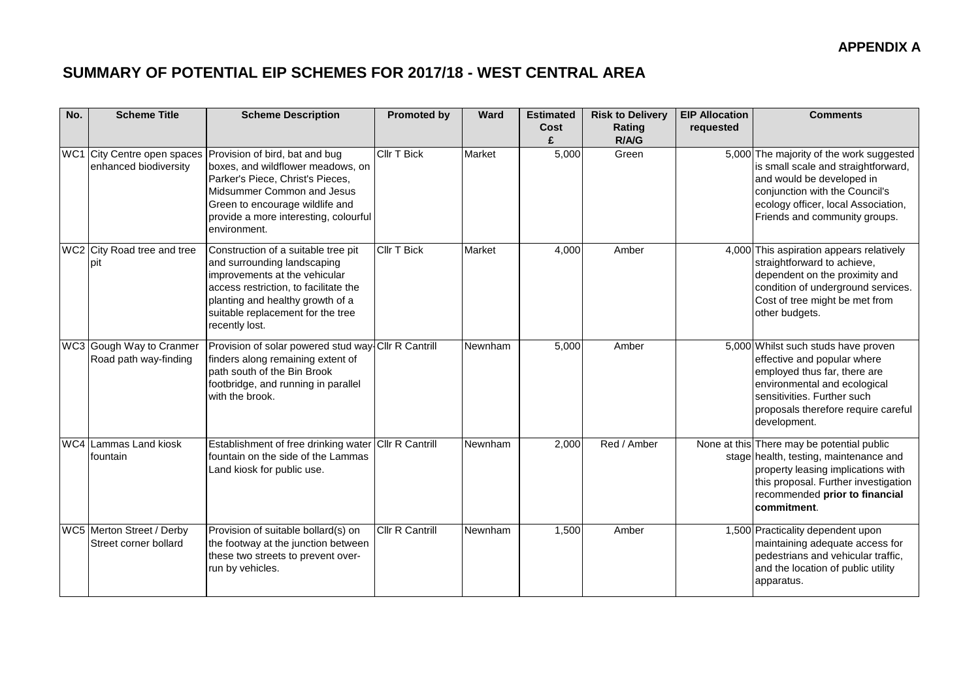## **SUMMARY OF POTENTIAL EIP SCHEMES FOR 2017/18 - WEST CENTRAL AREA**

| No.             | <b>Scheme Title</b>                                | <b>Scheme Description</b>                                                                                                                                                                                                                                 | <b>Promoted by</b>     | <b>Ward</b> | <b>Estimated</b><br>Cost | <b>Risk to Delivery</b><br>Rating | <b>EIP Allocation</b><br>requested | <b>Comments</b>                                                                                                                                                                                                          |
|-----------------|----------------------------------------------------|-----------------------------------------------------------------------------------------------------------------------------------------------------------------------------------------------------------------------------------------------------------|------------------------|-------------|--------------------------|-----------------------------------|------------------------------------|--------------------------------------------------------------------------------------------------------------------------------------------------------------------------------------------------------------------------|
|                 |                                                    |                                                                                                                                                                                                                                                           |                        |             |                          | R/A/G                             |                                    |                                                                                                                                                                                                                          |
| WC <sub>1</sub> | enhanced biodiversity                              | City Centre open spaces Provision of bird, bat and bug<br>boxes, and wildflower meadows, on<br>Parker's Piece, Christ's Pieces,<br>Midsummer Common and Jesus<br>Green to encourage wildlife and<br>provide a more interesting, colourful<br>environment. | <b>CIIr T Bick</b>     | Market      | 5,000                    | Green                             |                                    | 5,000 The majority of the work suggested<br>is small scale and straightforward,<br>and would be developed in<br>conjunction with the Council's<br>ecology officer, local Association,<br>Friends and community groups.   |
|                 | WC2 City Road tree and tree<br>pit                 | Construction of a suitable tree pit<br>and surrounding landscaping<br>improvements at the vehicular<br>access restriction, to facilitate the<br>planting and healthy growth of a<br>suitable replacement for the tree<br>recently lost.                   | <b>CIIr T Bick</b>     | Market      | 4,000                    | Amber                             |                                    | 4,000 This aspiration appears relatively<br>straightforward to achieve,<br>dependent on the proximity and<br>condition of underground services.<br>Cost of tree might be met from<br>other budgets.                      |
|                 | WC3 Gough Way to Cranmer<br>Road path way-finding  | Provision of solar powered stud way Cllr R Cantrill<br>finders along remaining extent of<br>path south of the Bin Brook<br>footbridge, and running in parallel<br>with the brook.                                                                         |                        | Newnham     | 5,000                    | Amber                             |                                    | 5,000 Whilst such studs have proven<br>effective and popular where<br>employed thus far, there are<br>environmental and ecological<br>sensitivities. Further such<br>proposals therefore require careful<br>development. |
|                 | WC4 Lammas Land kiosk<br>fountain                  | Establishment of free drinking water Cllr R Cantrill<br>fountain on the side of the Lammas<br>Land kiosk for public use.                                                                                                                                  |                        | Newnham     | 2,000                    | Red / Amber                       |                                    | None at this There may be potential public<br>stage health, testing, maintenance and<br>property leasing implications with<br>this proposal. Further investigation<br>recommended prior to financial<br>commitment.      |
|                 | WC5 Merton Street / Derby<br>Street corner bollard | Provision of suitable bollard(s) on<br>the footway at the junction between<br>these two streets to prevent over-<br>run by vehicles.                                                                                                                      | <b>Cllr R Cantrill</b> | Newnham     | 1,500                    | Amber                             |                                    | 1,500 Practicality dependent upon<br>maintaining adequate access for<br>pedestrians and vehicular traffic,<br>and the location of public utility<br>apparatus.                                                           |